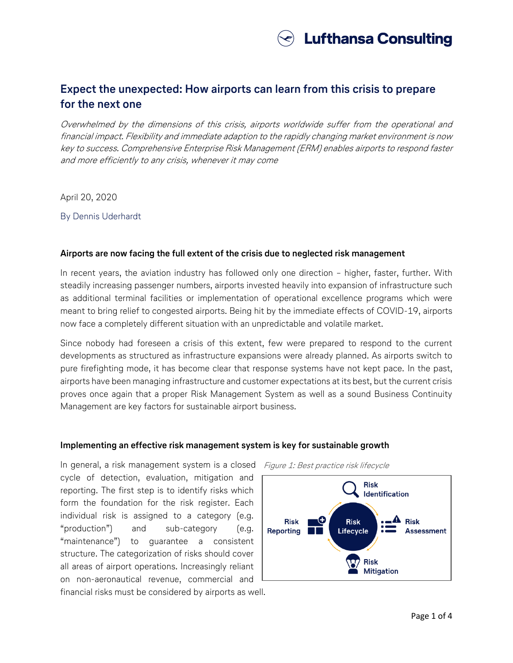

# **Expect the unexpected: How airports can learn from this crisis to prepare for the next one**

Overwhelmed by the dimensions of this crisis, airports worldwide suffer from the operational and financial impact. Flexibility and immediate adaption to the rapidly changing market environment is now key to success. Comprehensive Enterprise Risk Management (ERM) enables airports to respond faster and more efficiently to any crisis, whenever it may come

April 20, 2020

By Dennis Uderhardt

#### **Airports are now facing the full extent of the crisis due to neglected risk management**

In recent years, the aviation industry has followed only one direction – higher, faster, further. With steadily increasing passenger numbers, airports invested heavily into expansion of infrastructure such as additional terminal facilities or implementation of operational excellence programs which were meant to bring relief to congested airports. Being hit by the immediate effects of COVID-19, airports now face a completely different situation with an unpredictable and volatile market.

Since nobody had foreseen a crisis of this extent, few were prepared to respond to the current developments as structured as infrastructure expansions were already planned. As airports switch to pure firefighting mode, it has become clear that response systems have not kept pace. In the past, airports have been managing infrastructure and customer expectations at its best, but the current crisis proves once again that a proper Risk Management System as well as a sound Business Continuity Management are key factors for sustainable airport business.

#### **Implementing an effective risk management system is key for sustainable growth**

In general, a risk management system is a closed cycle of detection, evaluation, mitigation and reporting. The first step is to identify risks which form the foundation for the risk register. Each individual risk is assigned to a category (e.g. "production") and sub-category (e.g. "maintenance") to guarantee a consistent structure. The categorization of risks should cover all areas of airport operations. Increasingly reliant on non-aeronautical revenue, commercial and

financial risks must be considered by airports as well.

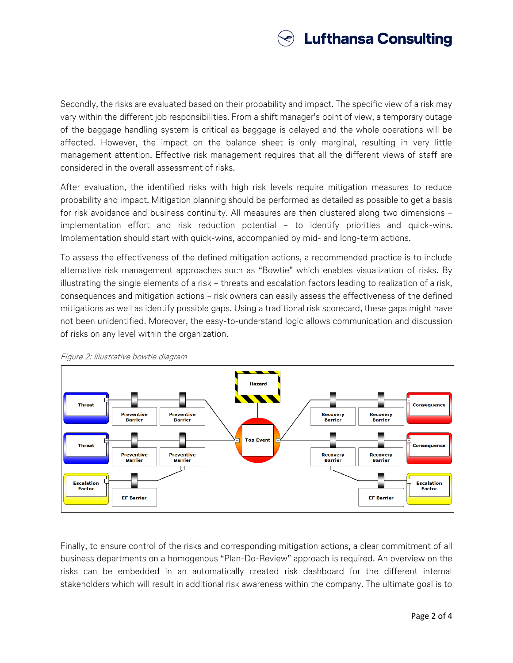

Secondly, the risks are evaluated based on their probability and impact. The specific view of a risk may vary within the different job responsibilities. From a shift manager's point of view, a temporary outage of the baggage handling system is critical as baggage is delayed and the whole operations will be affected. However, the impact on the balance sheet is only marginal, resulting in very little management attention. Effective risk management requires that all the different views of staff are considered in the overall assessment of risks.

After evaluation, the identified risks with high risk levels require mitigation measures to reduce probability and impact. Mitigation planning should be performed as detailed as possible to get a basis for risk avoidance and business continuity. All measures are then clustered along two dimensions – implementation effort and risk reduction potential – to identify priorities and quick-wins. Implementation should start with quick-wins, accompanied by mid- and long-term actions.

To assess the effectiveness of the defined mitigation actions, a recommended practice is to include alternative risk management approaches such as "Bowtie" which enables visualization of risks. By illustrating the single elements of a risk – threats and escalation factors leading to realization of a risk, consequences and mitigation actions – risk owners can easily assess the effectiveness of the defined mitigations as well as identify possible gaps. Using a traditional risk scorecard, these gaps might have not been unidentified. Moreover, the easy-to-understand logic allows communication and discussion of risks on any level within the organization.



Figure 2: Illustrative bowtie diagram

Finally, to ensure control of the risks and corresponding mitigation actions, a clear commitment of all business departments on a homogenous "Plan-Do-Review" approach is required. An overview on the risks can be embedded in an automatically created risk dashboard for the different internal stakeholders which will result in additional risk awareness within the company. The ultimate goal is to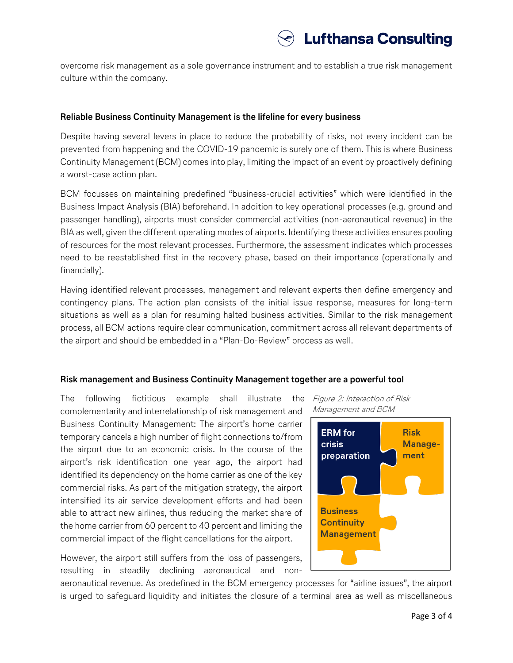overcome risk management as a sole governance instrument and to establish a true risk management culture within the company.

## **Reliable Business Continuity Management is the lifeline for every business**

Despite having several levers in place to reduce the probability of risks, not every incident can be prevented from happening and the COVID-19 pandemic is surely one of them. This is where Business Continuity Management (BCM) comes into play, limiting the impact of an event by proactively defining a worst-case action plan.

BCM focusses on maintaining predefined "business-crucial activities" which were identified in the Business Impact Analysis (BIA) beforehand. In addition to key operational processes (e.g. ground and passenger handling), airports must consider commercial activities (non-aeronautical revenue) in the BIA as well, given the different operating modes of airports. Identifying these activities ensures pooling of resources for the most relevant processes. Furthermore, the assessment indicates which processes need to be reestablished first in the recovery phase, based on their importance (operationally and financially).

Having identified relevant processes, management and relevant experts then define emergency and contingency plans. The action plan consists of the initial issue response, measures for long-term situations as well as a plan for resuming halted business activities. Similar to the risk management process, all BCM actions require clear communication, commitment across all relevant departments of the airport and should be embedded in a "Plan-Do-Review" process as well.

# **Risk management and Business Continuity Management together are a powerful tool**

The following fictitious example shall illustrate the complementarity and interrelationship of risk management and Business Continuity Management: The airport's home carrier temporary cancels a high number of flight connections to/from the airport due to an economic crisis. In the course of the airport's risk identification one year ago, the airport had identified its dependency on the home carrier as one of the key commercial risks. As part of the mitigation strategy, the airport intensified its air service development efforts and had been able to attract new airlines, thus reducing the market share of the home carrier from 60 percent to 40 percent and limiting the commercial impact of the flight cancellations for the airport.

However, the airport still suffers from the loss of passengers, resulting in steadily declining aeronautical and nonFigure 2: Interaction of Risk Management and BCM



aeronautical revenue. As predefined in the BCM emergency processes for "airline issues", the airport is urged to safeguard liquidity and initiates the closure of a terminal area as well as miscellaneous